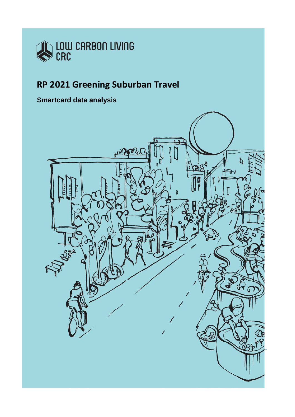

# **RP 2021 Greening Suburban Travel**

# **Smartcard data analysis**

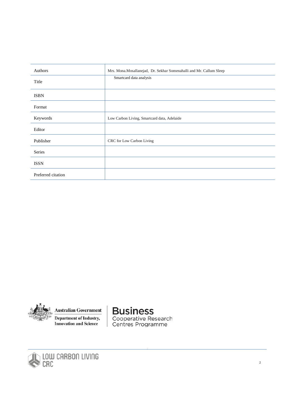| Authors            | Mrs. Mona. Mosallanejad, Dr. Sekhar Somenahalli and Mr. Callum Sleep |
|--------------------|----------------------------------------------------------------------|
| Title              | Smartcard data analysis                                              |
| <b>ISBN</b>        |                                                                      |
| Format             |                                                                      |
| Keywords           | Low Carbon Living, Smartcard data, Adelaide                          |
| Editor             |                                                                      |
| Publisher          | CRC for Low Carbon Living                                            |
| Series             |                                                                      |
| <b>ISSN</b>        |                                                                      |
| Preferred citation |                                                                      |



**Australian Government** 

**Department of Industry, Innovation and Science** 

# **Business**

Cooperative Research<br>Centres Programme

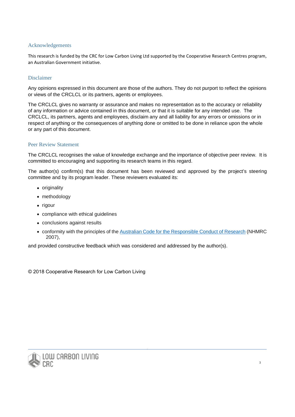#### <span id="page-2-0"></span>Acknowledgements

This research is funded by the CRC for Low Carbon Living Ltd supported by the Cooperative Research Centres program, an Australian Government initiative.

#### <span id="page-2-1"></span>Disclaimer

Any opinions expressed in this document are those of the authors. They do not purport to reflect the opinions or views of the CRCLCL or its partners, agents or employees.

The CRCLCL gives no warranty or assurance and makes no representation as to the accuracy or reliability of any information or advice contained in this document, or that it is suitable for any intended use. The CRCLCL, its partners, agents and employees, disclaim any and all liability for any errors or omissions or in respect of anything or the consequences of anything done or omitted to be done in reliance upon the whole or any part of this document.

#### <span id="page-2-2"></span>Peer Review Statement

The CRCLCL recognises the value of knowledge exchange and the importance of objective peer review. It is committed to encouraging and supporting its research teams in this regard.

The author(s) confirm(s) that this document has been reviewed and approved by the project's steering committee and by its program leader. These reviewers evaluated its:

- originality
- methodology
- rigour
- compliance with ethical guidelines
- conclusions against results
- conformity with the principles of th[e Australian Code for the Responsible Conduct of Research](https://www.nhmrc.gov.au/_files_nhmrc/file/research/research-integrity/r39_australian_code_responsible_conduct_research_150811.pdf) (NHMRC 2007),

and provided constructive feedback which was considered and addressed by the author(s).

© 2018 Cooperative Research for Low Carbon Living

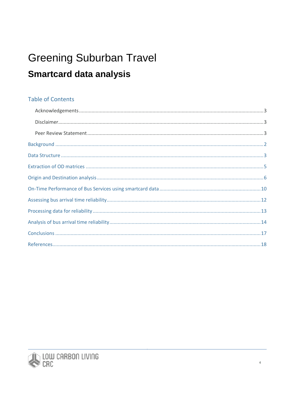# **Greening Suburban Travel Smartcard data analysis**

# **Table of Contents**

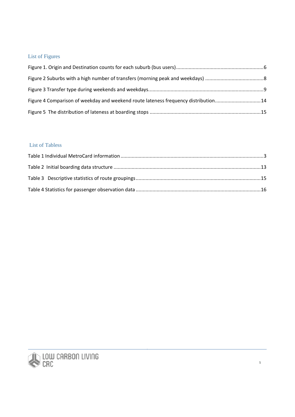## List of Figures

| Figure 4 Comparison of weekday and weekend route lateness frequency distribution14 |  |
|------------------------------------------------------------------------------------|--|
|                                                                                    |  |

### List of Tabless

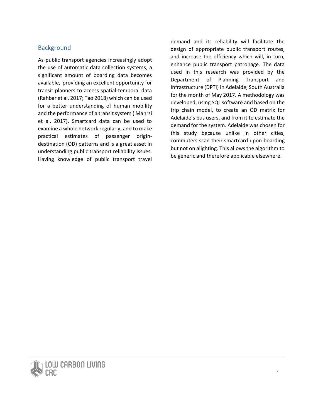## **Background**

<span id="page-5-0"></span>As public transport agencies increasingly adopt the use of automatic data collection systems, a significant amount of boarding data becomes available, providing an excellent opportunity for transit planners to access spatial-temporal data (Rahbar et al. 2017; Tao 2018) which can be used for a better understanding of human mobility and the performance of a transit system ( Mahrsi et al. 2017). Smartcard data can be used to examine a whole network regularly, and to make practical estimates of passenger origindestination (OD) patterns and is a great asset in understanding public transport reliability issues. Having knowledge of public transport travel

demand and its reliability will facilitate the design of appropriate public transport routes, and increase the efficiency which will, in turn, enhance public transport patronage. The data used in this research was provided by the Department of Planning Transport and Infrastructure (DPTI) in Adelaide, South Australia for the month of May 2017. A methodology was developed, using SQL software and based on the trip chain model, to create an OD matrix for Adelaide's bus users, and from it to estimate the demand for the system. Adelaide was chosen for this study because unlike in other cities, commuters scan their smartcard upon boarding but not on alighting. This allows the algorithm to be generic and therefore applicable elsewhere.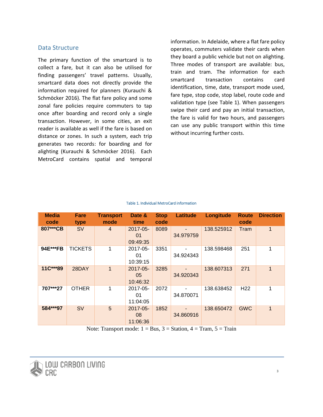#### Data Structure

<span id="page-6-0"></span>The primary function of the smartcard is to collect a fare, but it can also be utilised for finding passengers' travel patterns. Usually, smartcard data does not directly provide the information required for planners (Kurauchi & Schmöcker 2016). The flat fare policy and some zonal fare policies require commuters to tap once after boarding and record only a single transaction. However, in some cities, an exit reader is available as well if the fare is based on distance or zones. In such a system, each trip generates two records: for boarding and for alighting (Kurauchi & Schmöcker 2016). Each MetroCard contains spatial and temporal

information. In Adelaide, where a flat fare policy operates, commuters validate their cards when they board a public vehicle but not on alighting. Three modes of transport are available: bus, train and tram. The information for each smartcard transaction contains card identification, time, date, transport mode used, fare type, stop code, stop label, route code and validation type (see Table 1). When passengers swipe their card and pay an initial transaction, the fare is valid for two hours, and passengers can use any public transport within this time without incurring further costs.

<span id="page-6-1"></span>

| <b>Media</b><br>code | Fare<br>type   | <b>Transport</b><br>mode | Date &<br>time                  | <b>Stop</b><br>code | <b>Latitude</b> | Longitude                                                                                                                | <b>Route</b><br>code | <b>Direction</b> |
|----------------------|----------------|--------------------------|---------------------------------|---------------------|-----------------|--------------------------------------------------------------------------------------------------------------------------|----------------------|------------------|
| 807***CB             | <b>SV</b>      | $\overline{4}$           | $2017 - 05 -$<br>01<br>09:49:35 | 8089                | 34.979759       | 138.525912                                                                                                               | Tram                 | $\mathbf{1}$     |
| 94E***FB             | <b>TICKETS</b> | 1                        | 2017-05-<br>01<br>10:39:15      | 3351                | 34.924343       | 138.598468                                                                                                               | 251                  | 1                |
| 11C***89             | 28DAY          | 1                        | 2017-05-<br>05<br>10:46:32      | 3285                | 34.920343       | 138.607313                                                                                                               | 271                  | $\mathbf{1}$     |
| 707***27             | OTHER          |                          | 2017-05-<br>01<br>11:04:05      | 2072                | 34.870071       | 138.638452                                                                                                               | H <sub>22</sub>      |                  |
| 584***97             | <b>SV</b>      | 5                        | $2017 - 05 -$<br>08<br>11:06:36 | 1852                | 34.860916       | 138.650472<br>Note: Transport mode: $1 - D_{12}$ , $2 - R_{\text{tation}}$ , $4 - T_{\text{nom}}$ , $5 - T_{\text{min}}$ | <b>GWC</b>           | $\overline{1}$   |

#### Table 1. Individual MetroCard information

Note: Transport mode:  $1 = Bus$ ,  $3 = Station$ ,  $4 = Tran$ ,  $5 = Tran$ 

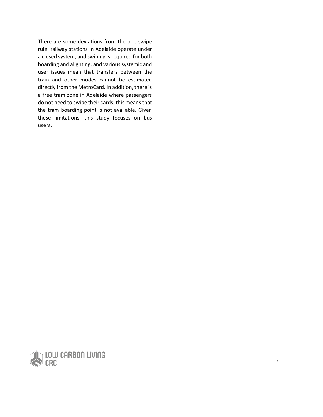There are some deviations from the one-swipe rule: railway stations in Adelaide operate under a closed system, and swiping is required for both boarding and alighting, and various systemic and user issues mean that transfers between the train and other modes cannot be estimated directly from the MetroCard. In addition, there is a free tram zone in Adelaide where passengers do not need to swipe their cards; this means that the tram boarding point is not available. Given these limitations, this study focuses on bus users.



**4**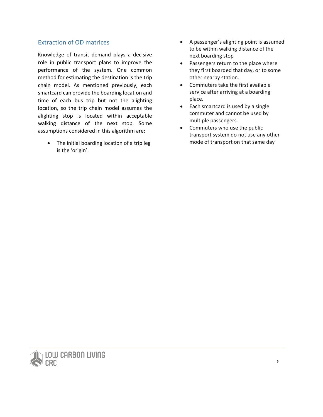#### Extraction of OD matrices

<span id="page-8-0"></span>Knowledge of transit demand plays a decisive role in public transport plans to improve the performance of the system. One common method for estimating the destination is the trip chain model. As mentioned previously, each smartcard can provide the boarding location and time of each bus trip but not the alighting location, so the trip chain model assumes the alighting stop is located within acceptable walking distance of the next stop. Some assumptions considered in this algorithm are:

The initial boarding location of a trip leg is the 'origin'.

- A passenger's alighting point is assumed to be within walking distance of the next boarding stop
- Passengers return to the place where they first boarded that day, or to some other nearby station.
- Commuters take the first available service after arriving at a boarding place.
- Each smartcard is used by a single commuter and cannot be used by multiple passengers.
- Commuters who use the public transport system do not use any other mode of transport on that same day

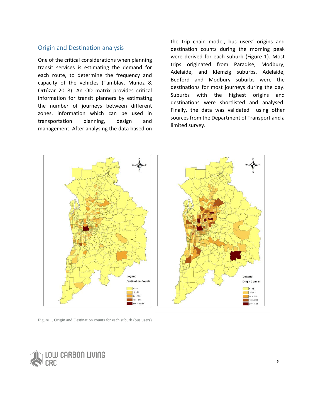#### Origin and Destination analysis

<span id="page-9-0"></span>One of the critical considerations when planning transit services is estimating the demand for each route, to determine the frequency and capacity of the vehicles (Tamblay, Muñoz & Ortúzar 2018). An OD matrix provides critical information for transit planners by estimating the number of journeys between different zones, information which can be used in transportation planning, design and management. After analysing the data based on

the trip chain model, bus users' origins and destination counts during the morning peak were derived for each suburb (Figure 1). Most trips originated from Paradise, Modbury, Adelaide, and Klemzig suburbs. Adelaide, Bedford and Modbury suburbs were the destinations for most journeys during the day. Suburbs with the highest origins and destinations were shortlisted and analysed. Finally, the data was validated using other sources from the Department of Transport and a limited survey.



Figure 1. Origin and Destination counts for each suburb (bus users)

<span id="page-9-1"></span>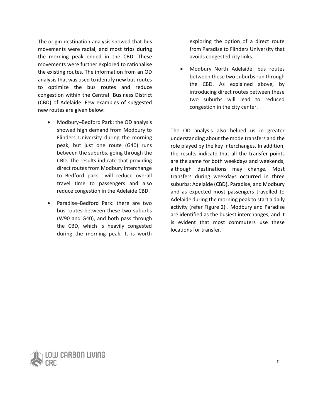The origin-destination analysis showed that bus movements were radial, and most trips during the morning peak ended in the CBD. These movements were further explored to rationalise the existing routes. The information from an OD analysis that was used to identify new bus routes to optimize the bus routes and reduce congestion within the Central Business District (CBD) of Adelaide. Few examples of suggested new routes are given below:

- Modbury–Bedford Park: the OD analysis showed high demand from Modbury to Flinders University during the morning peak, but just one route (G40) runs between the suburbs, going through the CBD. The results indicate that providing direct routes from Modbury interchange to Bedford park will reduce overall travel time to passengers and also reduce congestion in the Adelaide CBD.
- Paradise–Bedford Park: there are two bus routes between these two suburbs (W90 and G40), and both pass through the CBD, which is heavily congested during the morning peak. It is worth

exploring the option of a direct route from Paradise to Flinders University that avoids congested city links.

• Modbury–North Adelaide: bus routes between these two suburbs run through the CBD. As explained above, by introducing direct routes between these two suburbs will lead to reduced congestion in the city center.

The OD analysis also helped us in greater understanding about the mode transfers and the role played by the key interchanges. In addition, the results indicate that all the transfer points are the same for both weekdays and weekends, although destinations may change. Most transfers during weekdays occurred in three suburbs: Adelaide (CBD), Paradise, and Modbury and as expected most passengers travelled to Adelaide during the morning peak to start a daily activity (refer Figure 2) . Modbury and Paradise are identified as the busiest interchanges, and it is evident that most commuters use these locations for transfer.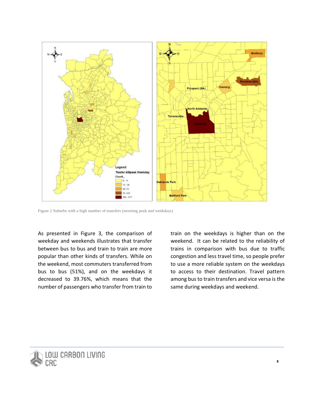

Figure 2 Suburbs with a high number of transfers (morning peak and weekdays)

<span id="page-11-0"></span>As presented in Figure 3, the comparison of weekday and weekends illustrates that transfer between bus to bus and train to train are more popular than other kinds of transfers. While on the weekend, most commuters transferred from bus to bus (51%), and on the weekdays it decreased to 39.76%, which means that the number of passengers who transfer from train to

train on the weekdays is higher than on the weekend. It can be related to the reliability of trains in comparison with bus due to traffic congestion and less travel time, so people prefer to use a more reliable system on the weekdays to access to their destination. Travel pattern among bus to train transfers and vice versa is the same during weekdays and weekend.

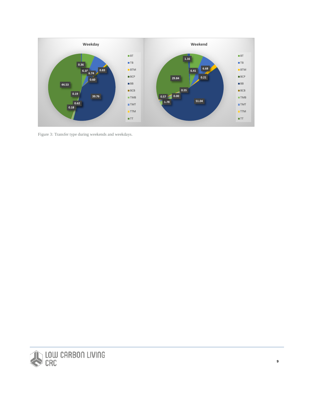

<span id="page-12-0"></span>Figure 3: Transfer type during weekends and weekdays.

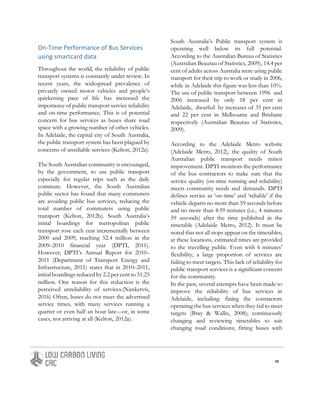## On-Time Performance of Bus Services using smartcard data

<span id="page-13-0"></span>Throughout the world, the reliability of public transport systems is constantly under review. In recent years, the widespread prevalence of privately owned motor vehicles and people's quickening pace of life has increased the importance of public transport service reliability and on-time performance. This is of potential concern for bus services as buses share road space with a growing number of other vehicles. In Adelaide, the capital city of South Australia, the public transport system has been plagued by concerns of unreliable services (Kelton, 2012a).

The South Australian community is encouraged, by the government, to use public transport especially for regular trips such as the daily commute. However, the South Australian public sector has found that many commuters are avoiding public bus services, reducing the total number of commuters using public transport (Kelton, 2012b). South Australia's initial boardings for metropolitan public transport rose each year incrementally between 2000 and 2009, reaching 52.4 million in the 2009–2010 financial year (DPTI, 2011). However, DPTI's Annual Report for 2010– 2011 (Department of Transport Energy and Infrastructure, 2011) states that in 2010–2011, initial boardings reduced by 2.2 per cent to 51.25 million. One reason for this reduction is the perceived unreliability of services.(Nankervis, 2016) Often, buses do not meet the advertised service times, with many services running a quarter or even half an hour late—or, in some cases, not arriving at all (Kelton, 2012a).

South Australia's Public transport system is operating well below its full potential. According to the Australian Bureau of Statistics (Australian Beaurau of Statistics, 2009), 14.4 per cent of adults across Australia were using public transport for their trip to work or study in 2006, while in Adelaide this figure was less than 10%. The use of public transport between 1996 and 2006 increased by only 18 per cent in Adelaide, dwarfed by increases of 35 per cent and 22 per cent in Melbourne and Brisbane respectively (Australian Beaurau of Statistics, 2009).

According to the Adelaide Metro website (Adelaide Metro, 2012), the quality of South Australian public transport needs minor improvement. DPTI monitors the performance of the bus contractors to make sure that the service quality (on-time running and reliability) meets community needs and demands. DPTI defines service as 'on-time' and 'reliable' if the vehicle departs no more than 59 seconds before and no more than 4:59 minutes (i.e., 4 minutes 59 seconds) after the time published in the timetable (Adelaide Metro, 2012). It must be noted that not all stops appear on the timetables; at these locations, estimated times are provided to the travelling public. Even with 6 minutes' flexibility, a large proportion of services are failing to meet targets. This lack of reliability for public transport services is a significant concern for the community.

In the past, several attempts have been made to improve the reliability of bus services in Adelaide, including: fining the contractors operating the bus services when they fail to meet targets (Bray & Wallis, 2008); continuously changing and reviewing timetables to suit changing road conditions; fitting buses with

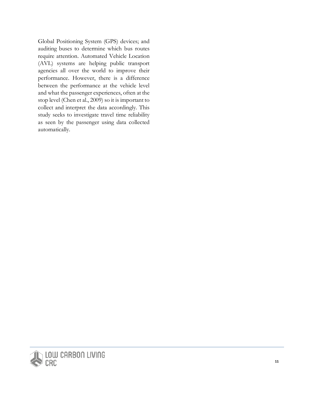Global Positioning System (GPS) devices; and auditing buses to determine which bus routes require attention. Automated Vehicle Location (AVL) systems are helping public transport agencies all over the world to improve their performance. However, there is a difference between the performance at the vehicle level and what the passenger experiences, often at the stop level (Chen et al., 2009) so it is important to collect and interpret the data accordingly. This study seeks to investigate travel time reliability as seen by the passenger using data collected automatically.

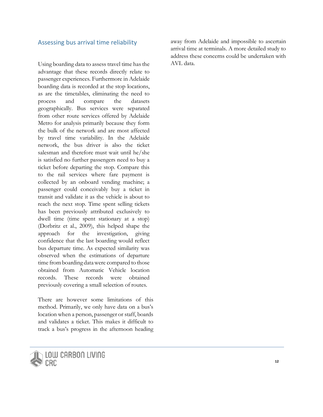#### Assessing bus arrival time reliability

<span id="page-15-0"></span>Using boarding data to assess travel time has the advantage that these records directly relate to passenger experiences. Furthermore in Adelaide boarding data is recorded at the stop locations, as are the timetables, eliminating the need to process and compare the datasets geographically. Bus services were separated from other route services offered by Adelaide Metro for analysis primarily because they form the bulk of the network and are most affected by travel time variability. In the Adelaide network, the bus driver is also the ticket salesman and therefore must wait until he/she is satisfied no further passengers need to buy a ticket before departing the stop. Compare this to the rail services where fare payment is collected by an onboard vending machine; a passenger could conceivably buy a ticket in transit and validate it as the vehicle is about to reach the next stop. Time spent selling tickets has been previously attributed exclusively to dwell time (time spent stationary at a stop) (Dorbritz et al., 2009), this helped shape the approach for the investigation, giving confidence that the last boarding would reflect bus departure time. As expected similarity was observed when the estimations of departure time fromboarding datawere compared to those obtained from Automatic Vehicle location records. These records were obtained previously covering a small selection of routes.

There are however some limitations of this method. Primarily, we only have data on a bus's location when a person, passenger or staff, boards and validates a ticket. This makes it difficult to track a bus's progress in the afternoon heading

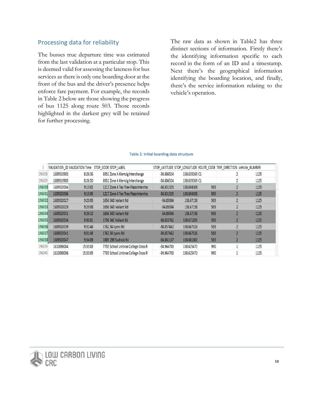#### Processing data for reliability

<span id="page-16-0"></span>The busses true departure time was estimated from the last validation at a particular stop. This is deemed valid for assessing the lateness for bus services as there is only one boarding door at the front of the bus and the driver's presence helps enforce fare payment. For example, the records in Table 2 below are those showing the progress of bus 1125 along route 503. Those records highlighted in the darkest grey will be retained for further processing.

The raw data as shown in Table2 has three distinct sections of information. Firstly there's the identifying information specific to each record in the form of an ID and a timestamp. Next there's the geographical information identifying the boarding location, and finally, there's the service information relating to the vehicle's operation.

#### Table 2: Initial boarding data structure

<span id="page-16-1"></span>

|        |            |          | VALIDATION ID VALIDATION Time STOP CODE STOP LABEL |              | STOP LATITUDE STOP LONGITUDE ROUTE CODE TRIP DIRECTION Vehicle NUMBER |     |      |
|--------|------------|----------|----------------------------------------------------|--------------|-----------------------------------------------------------------------|-----|------|
| 196028 | 1609919983 | 8:26:36  | 6931 Zone A Klemzig Interchange                    | $-34.886524$ | 138,639269 C1                                                         |     | 1125 |
| 196029 | 1609919985 | 8:26:50  | 6931 Zone A Klemzig Interchange                    | $-34.886524$ | 138,639269 C1                                                         |     | 1125 |
| 196030 | 1609920004 | 9:13:02  | 1217 Zone A Tea Tree Plaza Intercha                | $-34.831325$ | 138.694308                                                            | 503 | 1125 |
| 196031 | 1609920006 | 9:13:05  | 1217 Zone A Tea Tree Plaza Intercha                | $-34.831325$ | 138.694308                                                            | 503 | 1125 |
| 196032 | 1609920027 | 9:29:05  | 1656 34D Valiant Rd                                | $-34.85004$  | 138.67158                                                             | 503 | 1125 |
| 196033 | 1609920029 | 9:29:08  | 1656 34D Valiant Rd                                | $-34.85004$  | 138.67158                                                             | 503 | 1125 |
| 196034 | 1609920031 | 9:29:10  | 1656 34D Valiant Rd                                | $-34.85004$  | 138,67158                                                             | 503 | 1125 |
| 196035 | 1609920034 | 9:30:01  | 1706 34C Valiant Rd                                | $-34.853742$ | 138,671835                                                            | 503 | 1125 |
| 196036 | 1609920039 | 9:31:46  | 1762 34 Lyons Rd                                   | $-34.857462$ | 138,667326                                                            | 503 | 1125 |
| 196037 | 1609920041 | 9:31:48  | 1762 34 Lyons Rd                                   | $-34.857462$ | 138.667326                                                            | 503 | 1125 |
| 196038 | 1609920047 | 9:34:09  | 1869 29B Sudholz Rd                                | $-34.861157$ | 138.661002                                                            | 503 | 1125 |
| 196039 | 1610698084 | 15:33:03 | 7735 School Urrbrae College Cross R                | $-34.964703$ | 138.625472                                                            | 990 | 1125 |
| 196040 | 1610698086 | 15:33:05 | 7735 School Urrbrae College Cross R                | $-34.964703$ | 138.625472                                                            | 990 | 1125 |

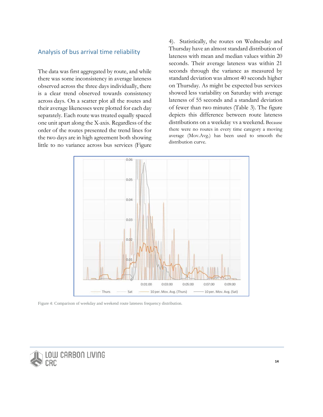#### Analysis of bus arrival time reliability

<span id="page-17-0"></span>The data was first aggregated by route, and while there was some inconsistency in average lateness observed across the three days individually, there is a clear trend observed towards consistency across days. On a scatter plot all the routes and their average likenesses were plotted for each day separately. Each route was treated equally spaced one unit apart along the X-axis. Regardless of the order of the routes presented the trend lines for the two days are in high agreement both showing little to no variance across bus services (Figure 4). Statistically, the routes on Wednesday and Thursday have an almost standard distribution of lateness with mean and median values within 20 seconds. Their average lateness was within 21 seconds through the variance as measured by standard deviation was almost 40 seconds higher on Thursday. As might be expected bus services showed less variability on Saturday with average lateness of 55 seconds and a standard deviation of fewer than two minutes (Table 3). The figure depicts this difference between route lateness distributions on a weekday vs a weekend. Because there were no routes in every time category a moving average (Mov.Avg.) has been used to smooth the distribution curve.



Figure 4: Comparison of weekday and weekend route lateness frequency distribution.

<span id="page-17-1"></span>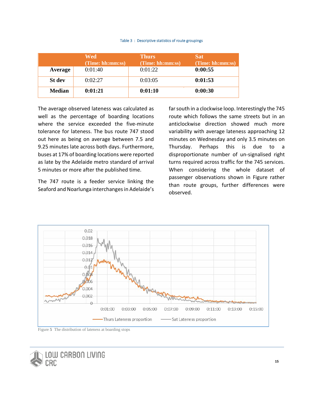#### Table 3 : Descriptive statistics of route groupings

<span id="page-18-1"></span>

|               | Wed<br>(Time: hh:mm:ss) | <b>Thurs</b><br>(Time: hh:mm:ss) | <b>Sat</b><br>(Time: hh:mm:ss) |
|---------------|-------------------------|----------------------------------|--------------------------------|
| Average       | 0:01:40                 | 0:01:22                          | 0:00:55                        |
| <b>St</b> dev | 0:02:27                 | 0:03:05                          | 0:01:53                        |
| <b>Median</b> | 0:01:21                 | 0:01:10                          | 0:00:30                        |

The average observed lateness was calculated as well as the percentage of boarding locations where the service exceeded the five-minute tolerance for lateness. The bus route 747 stood out here as being on average between 7.5 and 9.25 minutes late across both days. Furthermore, buses at 17% of boarding locations were reported as late by the Adelaide metro standard of arrival 5 minutes or more after the published time.

The 747 route is a feeder service linking the Seaford and Noarlunga interchanges in Adelaide's far south in a clockwise loop. Interestingly the 745 route which follows the same streets but in an anticlockwise direction showed much more variability with average lateness approaching 12 minutes on Wednesday and only 3.5 minutes on Thursday. Perhaps this is due to a disproportionate number of un-signalised right turns required across traffic for the 745 services. When considering the whole dataset of passenger observations shown in Figure rather than route groups, further differences were observed.



Figure **5** The distribution of lateness at boarding stops

<span id="page-18-0"></span>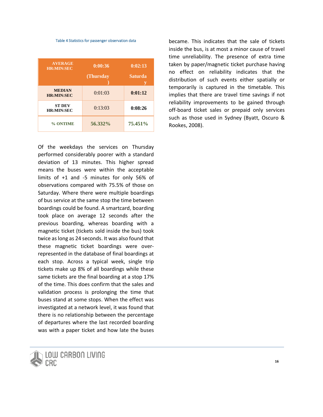#### Table 4 Statistics for passenger observation data

<span id="page-19-0"></span>

| <b>AVERAGE</b><br><b>HR:MIN:SEC</b> | 0:00:36   | 0:02:13        |  |
|-------------------------------------|-----------|----------------|--|
|                                     | (Thursday | <b>Saturda</b> |  |
| <b>MEDIAN</b><br><b>HR:MIN:SEC</b>  | 0:01:03   | 0:01:12        |  |
| <b>ST DEV</b><br><b>HR:MIN:SEC</b>  | 0:13:03   | 0:08:26        |  |
| % ONTIME                            | 56.332%   | 75.451%        |  |

Of the weekdays the services on Thursday performed considerably poorer with a standard deviation of 13 minutes. This higher spread means the buses were within the acceptable limits of +1 and -5 minutes for only 56% of observations compared with 75.5% of those on Saturday. Where there were multiple boardings of bus service at the same stop the time between boardings could be found. A smartcard, boarding took place on average 12 seconds after the previous boarding, whereas boarding with a magnetic ticket (tickets sold inside the bus) took twice as long as 24 seconds. It was also found that these magnetic ticket boardings were overrepresented in the database of final boardings at each stop. Across a typical week, single trip tickets make up 8% of all boardings while these same tickets are the final boarding at a stop 17% of the time. This does confirm that the sales and validation process is prolonging the time that buses stand at some stops. When the effect was investigated at a network level, it was found that there is no relationship between the percentage of departures where the last recorded boarding was with a paper ticket and how late the buses



became. This indicates that the sale of tickets inside the bus, is at most a minor cause of travel time unreliability. The presence of extra time taken by paper/magnetic ticket purchase having no effect on reliability indicates that the distribution of such events either spatially or temporarily is captured in the timetable. This implies that there are travel time savings if not reliability improvements to be gained through off-board ticket sales or prepaid only services such as those used in Sydney (Byatt, Oscuro & Rookes, 2008).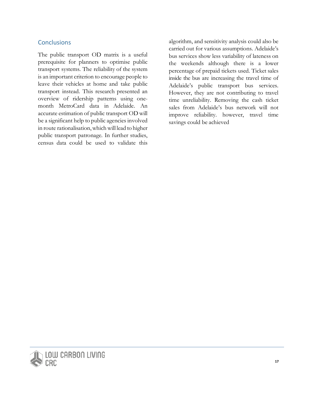#### **Conclusions**

<span id="page-20-0"></span>The public transport OD matrix is a useful prerequisite for planners to optimise public transport systems. The reliability of the system is an important criterion to encourage people to leave their vehicles at home and take public transport instead. This research presented an overview of ridership patterns using onemonth MetroCard data in Adelaide. An accurate estimation of public transport OD will be a significant help to public agencies involved in route rationalisation, which will lead to higher public transport patronage. In further studies, census data could be used to validate this

algorithm, and sensitivity analysis could also be carried out for various assumptions. Adelaide's bus services show less variability of lateness on the weekends although there is a lower percentage of prepaid tickets used. Ticket sales inside the bus are increasing the travel time of Adelaide's public transport bus services. However, they are not contributing to travel time unreliability. Removing the cash ticket sales from Adelaide's bus network will not improve reliability. however, travel time savings could be achieved